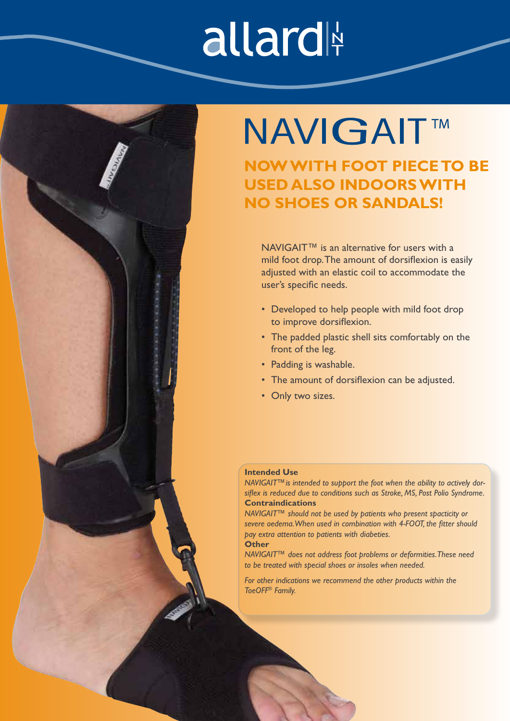# allard



### **NAVIGAIT™**

**NOW WITH FOOT PIECE TO BE USED ALSO INDOORS WITH NO SHOES OR SANDALS!**

NAVIGAIT<sup>™</sup> is an alternative for users with a mild foot drop. The amount of dorsiflexion is easily adjusted with an elastic coil to accommodate the user's specific needs.

- Developed to help people with mild foot drop to improve dorsiflexion.
- The padded plastic shell sits comfortably on the front of the leg.
- Padding is washable.
- The amount of dorsiflexion can be adjusted.
- Only two sizes.

### **Intended Use**

*NAVIGAIT™is intended to support the foot when the ability to actively dorsiflex is reduced due to conditions such as Stroke, MS, Post Polio Syndrome.*  **Contraindications**

*NAVIGAIT™ should not be used by patients who present spacticity or severe oedema. When used in combination with 4-FOOT, the fitter should pay extra attention to patients with diabeties.*

### **Other**

*NAVIGAIT™ does not address foot problems or deformities. These need to be treated with special shoes or insoles when needed.*

*For other indications we recommend the other products within the ToeOFF® Family.*